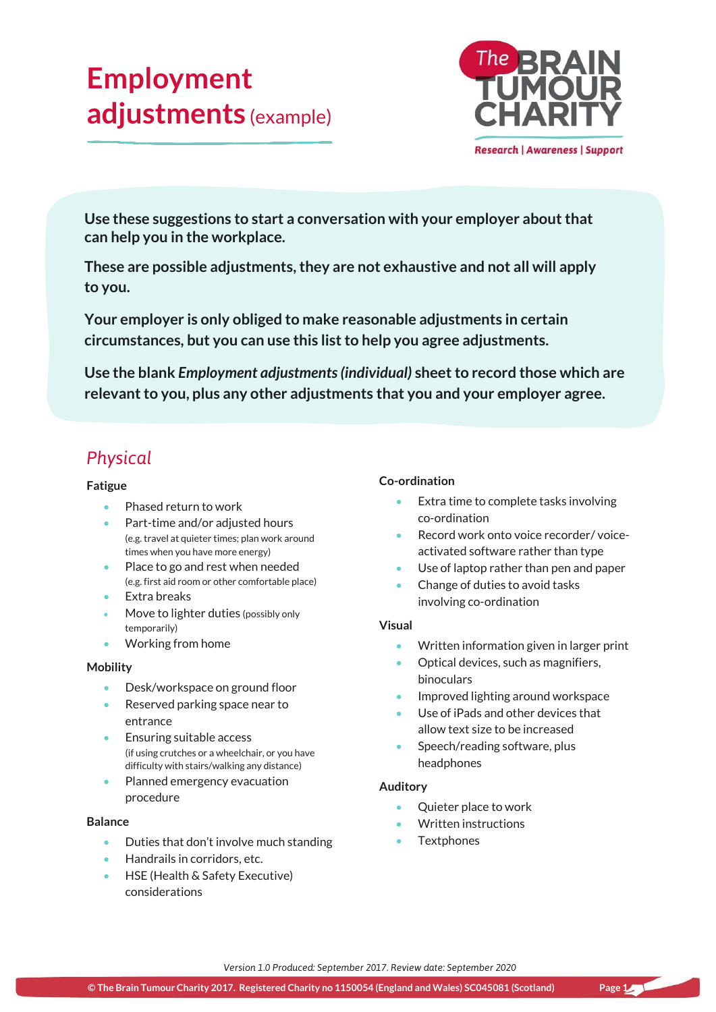# **Employment adjustments** (example)



**Use these suggestions to start a conversation with your employer about that can help you in the workplace.**

**These are possible adjustments, they are not exhaustive and not all will apply to you.**

**Your employer is only obliged to make reasonable adjustments in certain circumstances, but you can use this list to help you agree adjustments.**

**Use the blank** *Employment adjustments (individual)* **sheet to record those which are relevant to you, plus any other adjustments that you and your employer agree.**

# *Physical*

#### **Fatigue**

- Phased return to work
- Part-time and/or adjusted hours (e.g. travel at quieter times; plan work around times when you have more energy)
- Place to go and rest when needed (e.g. first aid room or other comfortable place)
- **Extra breaks**
- Move to lighter duties (possibly only temporarily)
- Working from home

#### **Mobility**

- Desk/workspace on ground floor
- Reserved parking space near to entrance
- **Ensuring suitable access** (if using crutches or a wheelchair, or you have difficulty with stairs/walking any distance)
- Planned emergency evacuation procedure

#### **Balance**

- Duties that don't involve much standing
- Handrails in corridors, etc.
- HSE (Health & Safety Executive) considerations

#### **Co-ordination**

- Extra time to complete tasks involving co-ordination
- Record work onto voice recorder/ voiceactivated software rather than type
- Use of laptop rather than pen and paper
- Change of duties to avoid tasks involving co-ordination

#### **Visual**

- Written information given in larger print
- Optical devices, such as magnifiers, binoculars
- Improved lighting around workspace
- Use of iPads and other devices that allow text size to be increased
- Speech/reading software, plus headphones

#### **Auditory**

- Quieter place to work
- Written instructions
- **Textphones**

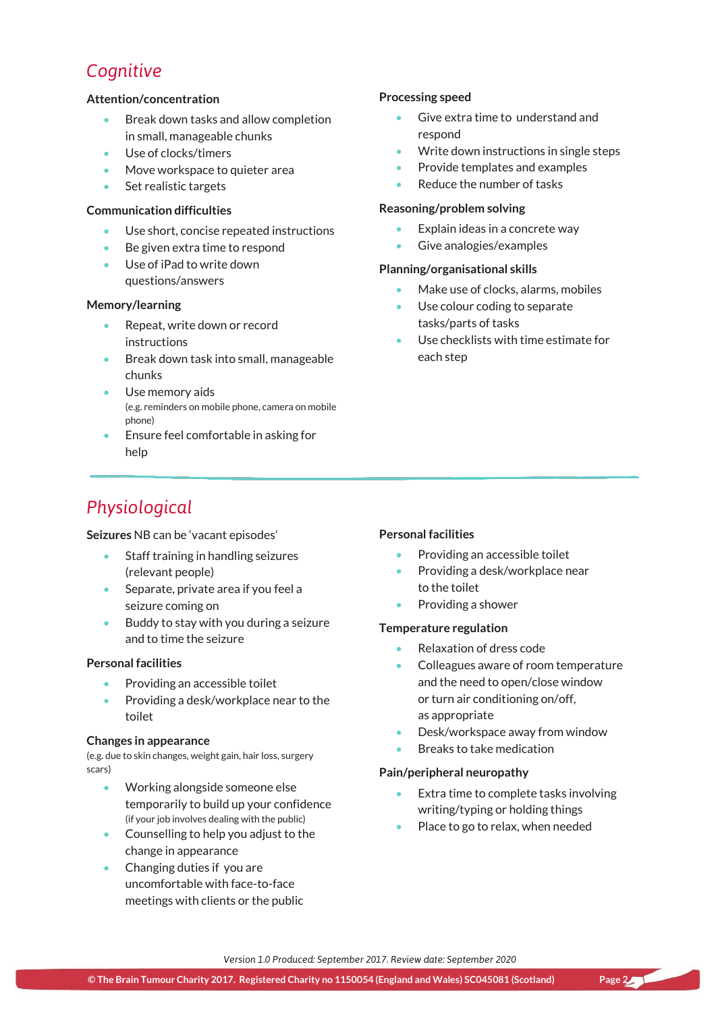### *Cognitive*

#### **Attention/concentration**

- Break down tasks and allow completion in small, manageable chunks
- Use of clocks/timers
- Move workspace to quieter area
- Set realistic targets

#### **Communication difficulties**

- Use short, concise repeated instructions
- Be given extra time to respond
- Use of iPad to write down questions/answers

#### **Memory/learning**

- Repeat, write down or record instructions
- **Break down task into small, manageable** chunks
- Use memory aids (e.g. reminders on mobile phone, camera on mobile phone)
- Ensure feel comfortable in asking for help

### *Physiological*

**Seizures** NB can be 'vacant episodes'

- Staff training in handling seizures (relevant people)
- Separate, private area if you feel a seizure coming on
- Buddy to stay with you during a seizure and to time the seizure

#### **Personal facilities**

- Providing an accessible toilet
- Providing a desk/workplace near to the toilet

#### **Changes in appearance**

(e.g. due to skin changes, weight gain, hair loss, surgery scars)

- Working alongside someone else temporarily to build up your confidence (if your job involves dealing with the public)
- Counselling to help you adjust to the change in appearance
- Changing duties if you are uncomfortable with face-to-face meetings with clients or the public

#### **Processing speed**

- Give extra time to understand and respond
- Write down instructions in single steps
- Provide templates and examples
- Reduce the number of tasks

#### **Reasoning/problem solving**

- Explain ideas in a concrete way
- Give analogies/examples

#### **Planning/organisational skills**

- Make use of clocks, alarms, mobiles
- Use colour coding to separate tasks/parts of tasks
- Use checklists with time estimate for each step

#### **Personal facilities**

- Providing an accessible toilet
- Providing a desk/workplace near to the toilet
- Providing a shower

#### **Temperature regulation**

- Relaxation of dress code
- Colleagues aware of room temperature and the need to open/close window or turn air conditioning on/off, as appropriate
- Desk/workspace away from window
- Breaks to take medication

#### **Pain/peripheral neuropathy**

- Extra time to complete tasks involving writing/typing or holding things
- Place to go to relax, when needed